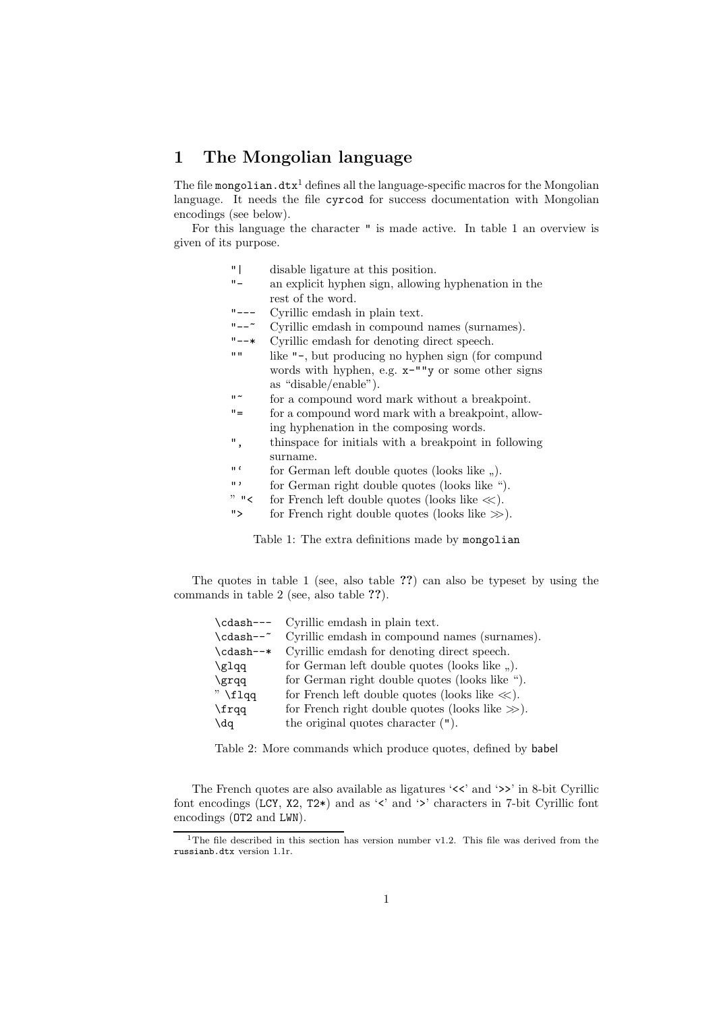# **1 The Mongolian language**

The file mongolian. $\mathtt{dtx}^1$  defines all the language-specific macros for the Mongolian language. It needs the file cyrcod for success documentation with Mongolian encodings (see below).

For this language the character " is made active. In table 1 an overview is given of its purpose.

- "| disable ligature at this position.
- "- an explicit hyphen sign, allowing hyphenation in the rest of the word.
- "--- Cyrillic emdash in plain text.<br>"---<sup>\*</sup> Cyrillic emdash in compound
- "-- $\sim$  Cyrillic emdash in compound names (surnames).<br>"--\* Cyrillic emdash for denoting direct speech
- Cyrillic emdash for denoting direct speech.
- "" like "-, but producing no hyphen sign (for compund words with hyphen, e.g. x-""y or some other signs as "disable/enable").
- "~ for a compound word mark without a breakpoint.
- "= for a compound word mark with a breakpoint, allowing hyphenation in the composing words.
- ", thinspace for initials with a breakpoint in following surname.
- "' for German left double quotes (looks like ,,).
- "' for German right double quotes (looks like ").<br>" $\leq$  for French left double quotes (looks like  $\ll$ ).
- for French left double quotes (looks like  $\ll$ ).
- "> for French right double quotes (looks like *>>*).

Table 1: The extra definitions made by mongolian

The quotes in table 1 (see, also table **??**) can also be typeset by using the commands in table 2 (see, also table **??**).

| Cyrillic emdash in plain text.                      |
|-----------------------------------------------------|
| Cyrillic emdash in compound names (surnames).       |
| Cyrillic emdash for denoting direct speech.         |
| for German left double quotes (looks like ,.).      |
| for German right double quotes (looks like ").      |
| for French left double quotes (looks like $\ll$ ).  |
| for French right double quotes (looks like $\gg$ ). |
| the original quotes character $($ ").               |
|                                                     |

Table 2: More commands which produce quotes, defined by babel

The French quotes are also available as ligatures ' $\langle \cdot \rangle$ ' and ' $\rangle$ ' in 8-bit Cyrillic font encodings (LCY, X2, T2\*) and as '<' and '>' characters in 7-bit Cyrillic font encodings (OT2 and LWN).

<sup>&</sup>lt;sup>1</sup>The file described in this section has version number v1.2. This file was derived from the russianb.dtx version 1.1r.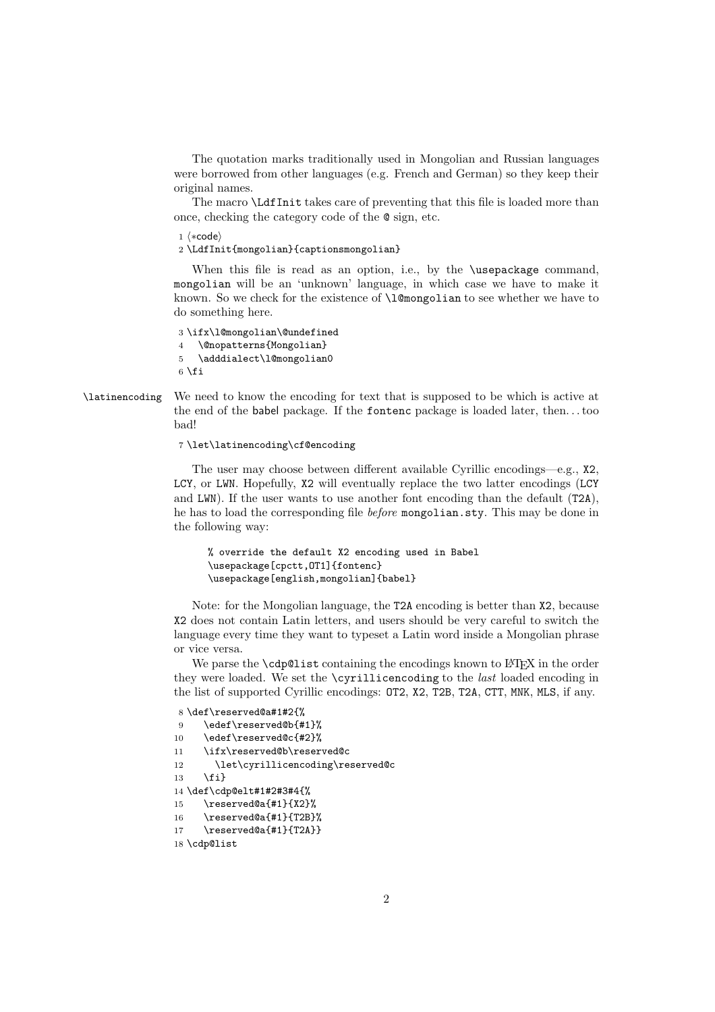The quotation marks traditionally used in Mongolian and Russian languages were borrowed from other languages (e.g. French and German) so they keep their original names.

The macro \LdfInit takes care of preventing that this file is loaded more than once, checking the category code of the @ sign, etc.

 $1 \langle *code \rangle$ 

2 \LdfInit{mongolian}{captionsmongolian}

When this file is read as an option, i.e., by the **\usepackage** command, mongolian will be an 'unknown' language, in which case we have to make it known. So we check for the existence of \l@mongolian to see whether we have to do something here.

```
3 \ifx\l@mongolian\@undefined
4 \@nopatterns{Mongolian}
5 \adddialect\l@mongolian0
6 \setminus fi
```
### \latinencoding We need to know the encoding for text that is supposed to be which is active at the end of the babel package. If the fontenc package is loaded later, then. . . too bad!

7 \let\latinencoding\cf@encoding

The user may choose between different available Cyrillic encodings—e.g., X2, LCY, or LWN. Hopefully, X2 will eventually replace the two latter encodings (LCY and LWN). If the user wants to use another font encoding than the default (T2A), he has to load the corresponding file *before* mongolian.sty. This may be done in the following way:

```
% override the default X2 encoding used in Babel
\usepackage[cpctt,OT1]{fontenc}
\usepackage[english,mongolian]{babel}
```
Note: for the Mongolian language, the T2A encoding is better than X2, because X2 does not contain Latin letters, and users should be very careful to switch the language every time they want to typeset a Latin word inside a Mongolian phrase or vice versa.

We parse the **\cdp@list** containing the encodings known to LAT<sub>E</sub>X in the order they were loaded. We set the \cyrillicencoding to the *last* loaded encoding in the list of supported Cyrillic encodings: OT2, X2, T2B, T2A, CTT, MNK, MLS, if any.

```
8 \def\reserved@a#1#2{%
9 \edef\reserved@b{#1}%
10 \edef\reserved@c{#2}%
11 \ifx\reserved@b\reserved@c
12 \let\cyrillicencoding\reserved@c
13 \{f_i\}14 \def\cdp@elt#1#2#3#4{%
15 \reserved@a{#1}{X2}%
16 \reserved@a{#1}{T2B}%
17 \reserved@a{#1}{T2A}}
```
18 \cdp@list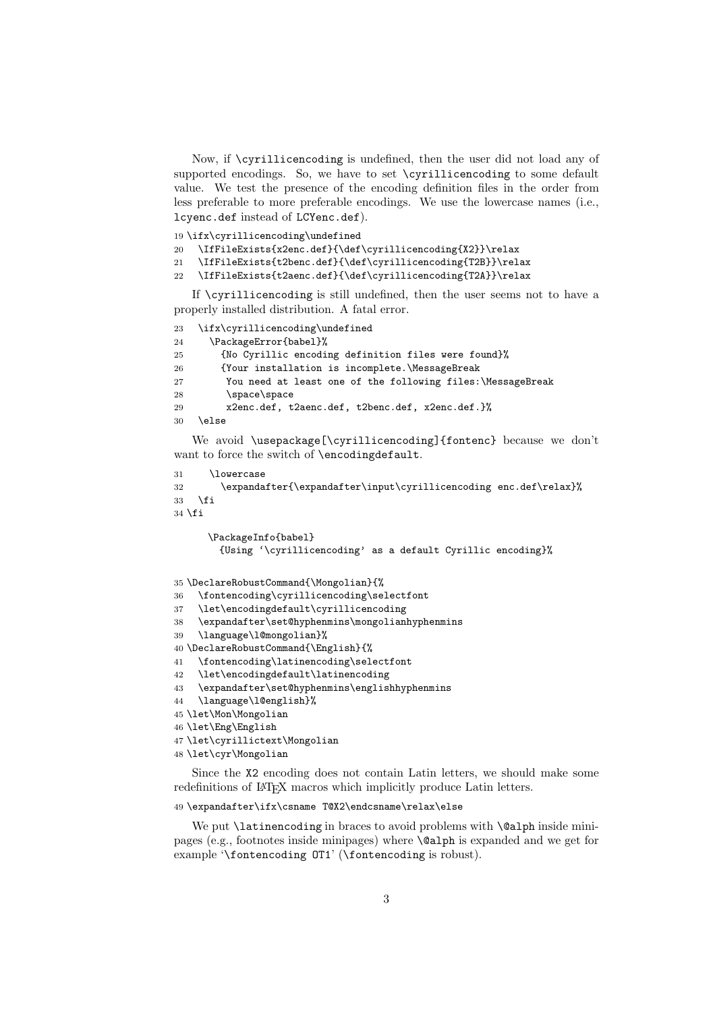Now, if \cyrillicencoding is undefined, then the user did not load any of supported encodings. So, we have to set \cyrillicencoding to some default value. We test the presence of the encoding definition files in the order from less preferable to more preferable encodings. We use the lowercase names (i.e., lcyenc.def instead of LCYenc.def).

\ifx\cyrillicencoding\undefined

```
20 \IfFileExists{x2enc.def}{\def\cyrillicencoding{X2}}\relax
```

```
21 \IfFileExists{t2benc.def}{\def\cyrillicencoding{T2B}}\relax
```

```
22 \IfFileExists{t2aenc.def}{\def\cyrillicencoding{T2A}}\relax
```
If \cyrillicencoding is still undefined, then the user seems not to have a properly installed distribution. A fatal error.

```
23 \ifx\cyrillicencoding\undefined
24 \PackageError{babel}%
25 {No Cyrillic encoding definition files were found}%
26 {Your installation is incomplete.\MessageBreak
27 You need at least one of the following files:\MessageBreak
28 \sqrt{\text{space}} space
29 x2enc.def, t2aenc.def, t2benc.def, x2enc.def.}%
30 \else
```
We avoid \usepackage[\cyrillicencoding]{fontenc} because we don't want to force the switch of \encodingdefault.

```
31 \lowercase
32 \expandafter{\expandafter\input\cyrillicencoding enc.def\relax}%
33 \sqrt{f}34 \fi
```

```
\PackageInfo{babel}
        {Using '\cyrillicencoding' as a default Cyrillic encoding}%
35 \DeclareRobustCommand{\Mongolian}{%
36 \fontencoding\cyrillicencoding\selectfont
37 \let\encodingdefault\cyrillicencoding
38 \expandafter\set@hyphenmins\mongolianhyphenmins
39 \language\l@mongolian}%
40 \DeclareRobustCommand{\English}{%
41 \fontencoding\latinencoding\selectfont
42 \let\encodingdefault\latinencoding
43 \expandafter\set@hyphenmins\englishhyphenmins
44 \language\l@english}%
45 \let\Mon\Mongolian
46 \let\Eng\English
```

```
47 \let\cyrillictext\Mongolian
```

```
48 \let\cyr\Mongolian
```
Since the X2 encoding does not contain Latin letters, we should make some redefinitions of IAT<sub>E</sub>X macros which implicitly produce Latin letters.

#### \expandafter\ifx\csname T@X2\endcsname\relax\else

We put **\latinencoding** in braces to avoid problems with **\@alph** inside minipages (e.g., footnotes inside minipages) where \@alph is expanded and we get for example '\fontencoding OT1' (\fontencoding is robust).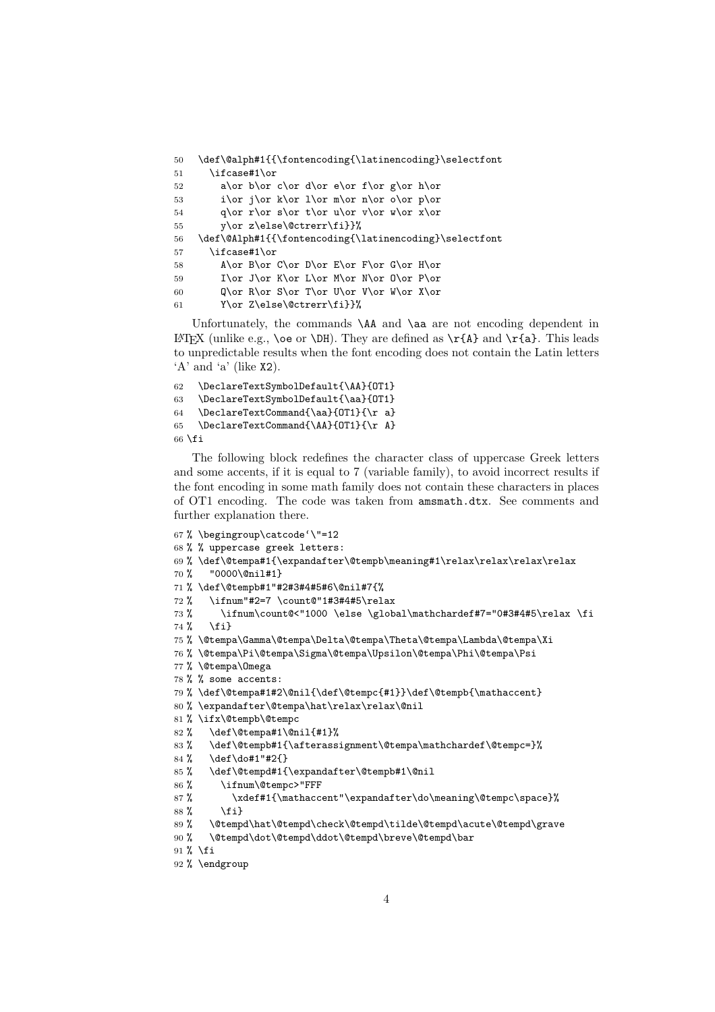```
50 \def\@alph#1{{\fontencoding{\latinencoding}\selectfont
51 \ifcase#1\or
52 a\or b\or c\or d\or e\or f\or g\or h\or
53 i\or j\or k\or 1\or m\or n\or o\or p\or
54 q\or r\or s\or t\or u\or v\or w\or x\or
55 y\or z\else\@ctrerr\fi}}%
56 \def\@Alph#1{{\fontencoding{\latinencoding}\selectfont
57 \ifcase#1\or
58 A\or B\or C\or D\or E\or F\or G\or H\or
59 I\or J\or K\or L\or M\or N\or O\or P\or
60 Q\or R\or S\or T\or U\or V\or W\or X\or61 Y\or Z\else\@ctrerr\fi}}%
```
Unfortunately, the commands **\AA** and **\aa** are not encoding dependent in LAT<sub>EX</sub> (unlike e.g., \oe or \DH). They are defined as  $\r{A}$  and  $\r{a}$ . This leads to unpredictable results when the font encoding does not contain the Latin letters 'A' and 'a' (like  $X2$ ).

```
62 \DeclareTextSymbolDefault{\AA}{OT1}
63 \DeclareTextSymbolDefault{\aa}{OT1}
64 \DeclareTextCommand{\aa}{OT1}{\r a}
65 \DeclareTextCommand{\AA}{OT1}{\r A}
66 \fi
```
The following block redefines the character class of uppercase Greek letters and some accents, if it is equal to 7 (variable family), to avoid incorrect results if the font encoding in some math family does not contain these characters in places of OT1 encoding. The code was taken from amsmath.dtx. See comments and further explanation there.

```
67 % \begingroup\catcode'\"=12
68 % % uppercase greek letters:
69 % \def\@tempa#1{\expandafter\@tempb\meaning#1\relax\relax\relax\relax
70 % "0000\@nil#1}
71 % \def\@tempb#1"#2#3#4#5#6\@nil#7{%
72 % \ifnum"#2=7 \count@"1#3#4#5\relax
73 % \ifnum\count@<"1000 \else \global\mathchardef#7="0#3#4#5\relax \fi
74 % \fi}
75 % \@tempa\Gamma\@tempa\Delta\@tempa\Theta\@tempa\Lambda\@tempa\Xi
76 % \@tempa\Pi\@tempa\Sigma\@tempa\Upsilon\@tempa\Phi\@tempa\Psi
77 % \@tempa\Omega
78 % % some accents:
79 % \def\@tempa#1#2\@nil{\def\@tempc{#1}}\def\@tempb{\mathaccent}
80 % \expandafter\@tempa\hat\relax\relax\@nil
81 % \ifx\@tempb\@tempc
82 % \def\@tempa#1\@nil{#1}%
83 % \def\@tempb#1{\afterassignment\@tempa\mathchardef\@tempc=}%
84 % \def\do#1"#2{}
85 % \def\@tempd#1{\expandafter\@tempb#1\@nil
86 % \ifnum\@tempc>"FFF
87% \xdef#1{\mathaccent"\expandafter\do\meaning\@tempc\space}%
88 \% \fi}<br>89 \% \Ctemp
      \@tempd\hat\@tempd\check\@tempd\tilde\@tempd\acute\@tempd\grave
90 % \@tempd\dot\@tempd\ddot\@tempd\breve\@tempd\bar
91 % \fi
92 % \endgroup
```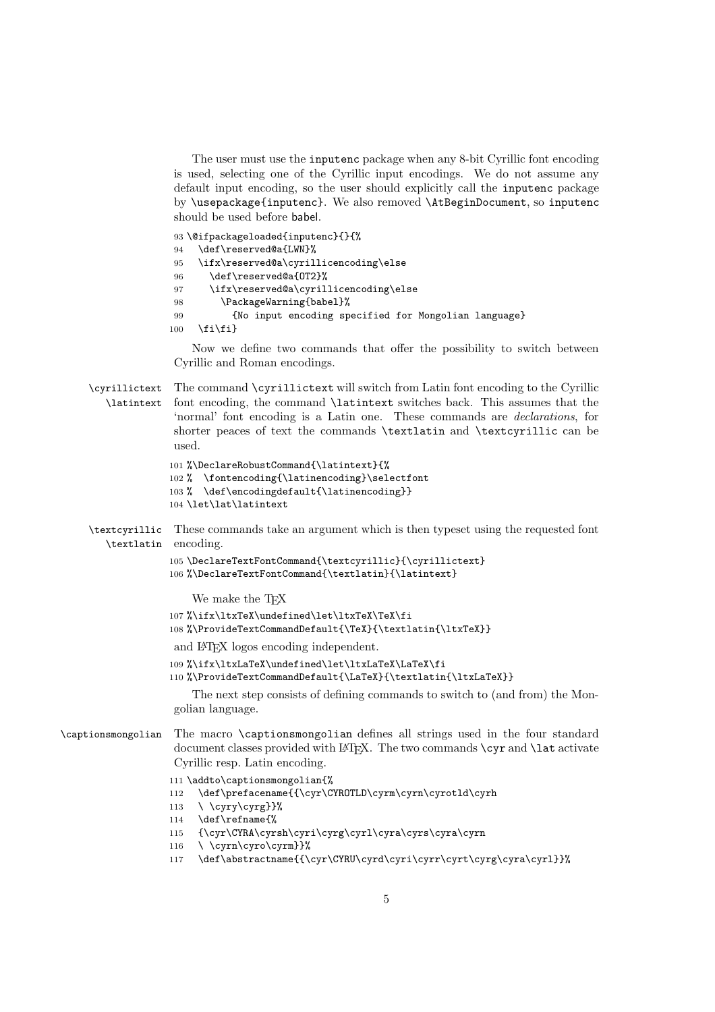The user must use the inputenc package when any 8-bit Cyrillic font encoding is used, selecting one of the Cyrillic input encodings. We do not assume any default input encoding, so the user should explicitly call the inputenc package by \usepackage{inputenc}. We also removed \AtBeginDocument, so inputenc should be used before babel.

```
93 \@ifpackageloaded{inputenc}{}{%
94 \def\reserved@a{LWN}%
95 \ifx\reserved@a\cyrillicencoding\else
96 \def\reserved@a{OT2}%
97 \ifx\reserved@a\cyrillicencoding\else
98 \PackageWarning{babel}%
99 {No input encoding specified for Mongolian language}
100 \quad \text{ififif}
```
Now we define two commands that offer the possibility to switch between Cyrillic and Roman encodings.

\cyrillictext The command \cyrillictext will switch from Latin font encoding to the Cyrillic \latintext font encoding, the command \latintext switches back. This assumes that the 'normal' font encoding is a Latin one. These commands are *declarations*, for shorter peaces of text the commands \textlatin and \textcyrillic can be used.

```
101 %\DeclareRobustCommand{\latintext}{%
102 % \fontencoding{\latinencoding}\selectfont
103 % \def\encodingdefault{\latinencoding}}
104 \let\lat\latintext
```
\textcyrillic These commands take an argument which is then typeset using the requested font \textlatin encoding.

```
105 \DeclareTextFontCommand{\textcyrillic}{\cyrillictext}
106 %\DeclareTextFontCommand{\textlatin}{\latintext}
```
We make the T<sub>F</sub>X

```
107 %\ifx\ltxTeX\undefined\let\ltxTeX\TeX\fi
108 %\ProvideTextCommandDefault{\TeX}{\textlatin{\ltxTeX}}
```
- 
- and LATEX logos encoding independent.
- 109 %\ifx\ltxLaTeX\undefined\let\ltxLaTeX\LaTeX\fi
- 110 %\ProvideTextCommandDefault{\LaTeX}{\textlatin{\ltxLaTeX}}

The next step consists of defining commands to switch to (and from) the Mongolian language.

```
\captionsmongolian The macro \captionsmongolian defines all strings used in the four standard
                      document classes provided with LAT<sub>EX</sub>. The two commands \c{yr} and \l{lat} activate
                     Cyrillic resp. Latin encoding.
```
111 \addto\captionsmongolian{%

- 112 \def\prefacename{{\cyr\CYROTLD\cyrm\cyrn\cyrotld\cyrh
- 113 \ \cyry\cyrg}}%
- 114 \def\refname{%
- 115 {\cyr\CYRA\cyrsh\cyri\cyrg\cyrl\cyra\cyrs\cyra\cyrn
- 116 \ \cyrn\cyro\cyrm}}%
- 117 \def\abstractname{{\cyr\CYRU\cyrd\cyri\cyrr\cyrt\cyrg\cyra\cyr1}}%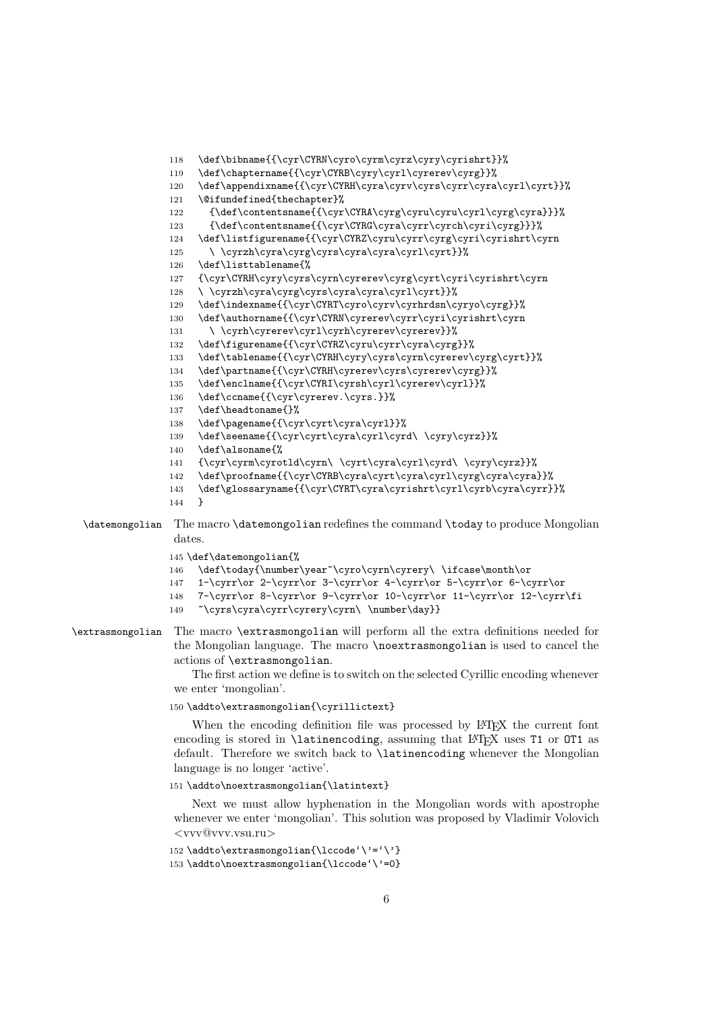```
118 \def\bibname{{\cyr\CYRN\cyro\cyrm\cyrz\cyry\cyrishrt}}%
              119 \def\chaptername{{\cyr\CYRB\cyry\cyrl\cyrerev\cyrg}}%
              120 \def\appendixname{{\cyr\CYRH\cyra\cyrv\cyrs\cyrr\cyra\cyrl\cyrt}}%
              121 \@ifundefined{thechapter}%
              122 {\def\contentsname{{\cyr\CYRA\cyrg\cyru\cyru\cyrl\cyrg\cyra}}}%
               123 {\def\contentsname{{\cyr\CYRG\cyra\cyrr\cyrch\cyri\cyrg}}}%
               124 \def\listfigurename{{\cyr\CYRZ\cyru\cyrr\cyrg\cyri\cyrishrt\cyrn
               125 \ \cyrzh\cyra\cyrg\cyrs\cyra\cyra\cyrl\cyrt}}%
               126 \def\listtablename{%
               127 {\cyr\CYRH\cyry\cyrs\cyrn\cyrerev\cyrg\cyrt\cyri\cyrishrt\cyrn
              128 \ \cyrzh\cyra\cyrg\cyrs\cyra\cyra\cyrl\cyrt}}%
              129 \def\indexname{{\cyr\CYRT\cyro\cyrv\cyrhrdsn\cyryo\cyrg}}%
               130 \def\authorname{{\cyr\CYRN\cyrerev\cyrr\cyri\cyrishrt\cyrn
               131 \ \cyrh\cyrerev\cyrl\cyrh\cyrerev\cyrerev}}%
               132 \def\figurename{{\cyr\CYRZ\cyru\cyrr\cyra\cyrg}}%
               133 \def\tablename{{\cyr\CYRH\cyry\cyrs\cyrn\cyrerev\cyrg\cyrt}}%
               134 \def\partname{{\cyr\CYRH\cyrerev\cyrs\cyrerev\cyrg}}%
               135 \def\enclname{{\cyr\CYRI\cyrsh\cyrl\cyrerev\cyrl}}%
               136 \def\ccname{{\cyr\cyrerev.\cyrs.}}%
               137 \def\headtoname{}%
              138 \def\pagename{{\cyr\cyrt\cyra\cyrl}}%
              139 \def\seename{{\cyr\cyrt\cyra\cyrl\cyrd\ \cyry\cyrz}}%
              140 \def\alsoname{%
              141 {\cyr\cyrm\cyrotld\cyrn\ \cyrt\cyra\cyrl\cyrd\ \cyry\cyrz}}%
               142 \def\proofname{{\cyr\CYRB\cyra\cyrt\cyra\cyrl\cyrg\cyra\cyra}}%
               143 \def\glossaryname{{\cyr\CYRT\cyra\cyrishrt\cyrl\cyrb\cyra\cyrr}}%
               144 }
\datemongolian The macro \datemongolian redefines the command \today to produce Mongolian
```
## dates.

145 \def\datemongolian{%

- 146 \def\today{\number\year~\cyro\cyrn\cyrery\ \ifcase\month\or
- 147 1-\cyrr\or 2-\cyrr\or 3-\cyrr\or 4-\cyrr\or 5-\cyrr\or 6-\cyrr\or
- 148 7-\cyrr\or 8-\cyrr\or 9-\cyrr\or 10-\cyrr\or 11-\cyrr\or 12-\cyrr\fi
- 149 ~\cyrs\cyra\cyrr\cyrery\cyrn\ \number\day}}
- \extrasmongolian The macro \extrasmongolian will perform all the extra definitions needed for the Mongolian language. The macro \noextrasmongolian is used to cancel the actions of \extrasmongolian.

The first action we define is to switch on the selected Cyrillic encoding whenever we enter 'mongolian'.

150 \addto\extrasmongolian{\cyrillictext}

When the encoding definition file was processed by LAT<sub>EX</sub> the current font encoding is stored in **\latinencoding**, assuming that LAT<sub>E</sub>X uses T1 or OT1 as default. Therefore we switch back to \latinencoding whenever the Mongolian language is no longer 'active'.

151 \addto\noextrasmongolian{\latintext}

Next we must allow hyphenation in the Mongolian words with apostrophe whenever we enter 'mongolian'. This solution was proposed by Vladimir Volovich <vvv@vvv.vsu.ru>

152 \addto\extrasmongolian{\lccode'\'='\'} 153 \addto\noextrasmongolian{\lccode'\'=0}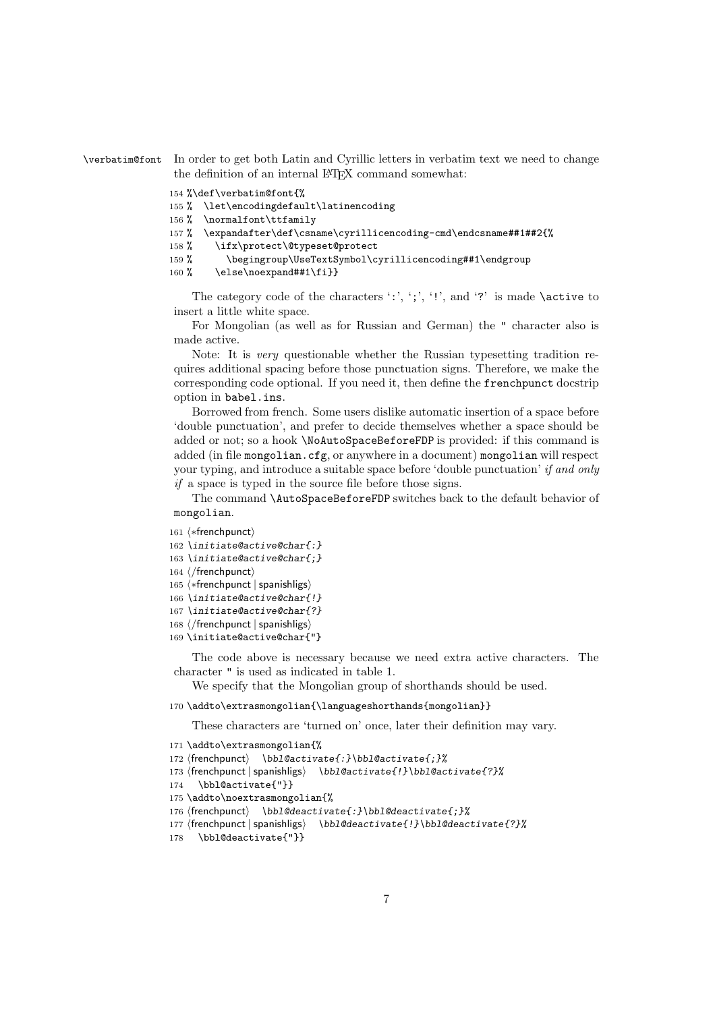\verbatim@font In order to get both Latin and Cyrillic letters in verbatim text we need to change the definition of an internal LAT<sub>EX</sub> command somewhat:

```
154 %\def\verbatim@font{%
155 % \let\encodingdefault\latinencoding
156 % \normalfont\ttfamily
157 % \expandafter\def\csname\cyrillicencoding-cmd\endcsname##1##2{%
158 % \ifx\protect\@typeset@protect
159 % \begingroup\UseTextSymbol\cyrillicencoding##1\endgroup
160 % \else\noexpand##1\fi}}
```
The category code of the characters ':', ';', '!', and '?' is made  $\setminus$  active to insert a little white space.

For Mongolian (as well as for Russian and German) the " character also is made active.

Note: It is *very* questionable whether the Russian typesetting tradition requires additional spacing before those punctuation signs. Therefore, we make the corresponding code optional. If you need it, then define the frenchpunct docstrip option in babel.ins.

Borrowed from french. Some users dislike automatic insertion of a space before 'double punctuation', and prefer to decide themselves whether a space should be added or not; so a hook \NoAutoSpaceBeforeFDP is provided: if this command is added (in file mongolian.cfg, or anywhere in a document) mongolian will respect your typing, and introduce a suitable space before 'double punctuation' *if and only if* a space is typed in the source file before those signs.

The command \AutoSpaceBeforeFDP switches back to the default behavior of mongolian.

```
161 \langle *frenchpunct\rangle
```

```
162 \initiate@active@char{:}
163 \initiate@active@char{;}
```

```
164 \langle/frenchpunct\rangle
```

```
165 \langle *frenchpunct | spanishligs\rangle
```

```
166 \initiate@active@char{!}
```

```
167 \initiate@active@char{?}
```

```
168 \langle/frenchpunct | spanishligs)
```

```
169 \initiate@active@char{"}
```
The code above is necessary because we need extra active characters. The character " is used as indicated in table 1.

We specify that the Mongolian group of shorthands should be used.

170 \addto\extrasmongolian{\languageshorthands{mongolian}}

These characters are 'turned on' once, later their definition may vary.

```
171 \addto\extrasmongolian{%
172 -
frenchpunct \bbl@activate{:}\bbl@activate{;}%
173 -
frenchpunct | spanishligs \bbl@activate{!}\bbl@activate{?}%
174 \bbl@activate{"}}
175 \addto\noextrasmongolian{%
176 \langle http://deactivate{:}\bbl@deactivate{;}%
177 -
frenchpunct | spanishligs \bbl@deactivate{!}\bbl@deactivate{?}%
178 \bbl@deactivate{"}}
```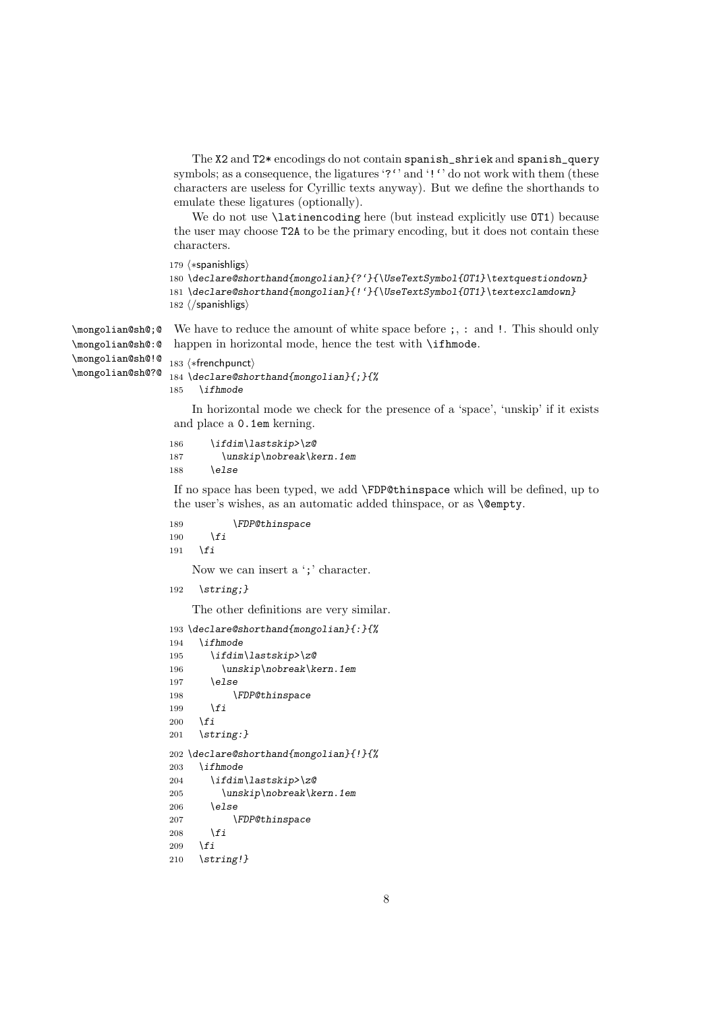```
The X2 and T2* encodings do not contain spanish_shriek and spanish_query
symbols; as a consequence, the ligatures '?'' and '!'' do not work with them (these
characters are useless for Cyrillic texts anyway). But we define the shorthands to
emulate these ligatures (optionally).
```
We do not use **\latinencoding** here (but instead explicitly use  $OT1$ ) because the user may choose T2A to be the primary encoding, but it does not contain these characters.

 $179 \n\left\langle *\mathsf{spanishligs}\right\rangle$ 

```
180 \declare@shorthand{mongolian}{?'}{\UseTextSymbol{OT1}\textquestiondown}
181 \declare@shorthand{mongolian}{!'}{\UseTextSymbol{OT1}\textexclamdown}
182 \langle/spanishligs\rangle
```
\mongolian@sh@;@ We have to reduce the amount of white space before ;, : and !. This should only happen in horizontal mode, hence the test with \ifhmode.

```
\mongolian@sh@:@
\mongolian@sh@!@
\mongolian@sh@?@
```

```
183 \langle *frenchpunct\rangle184 \declare@shorthand{mongolian}{;}{%
185 \ifhmode
```
In horizontal mode we check for the presence of a 'space', 'unskip' if it exists and place a 0.1em kerning.

```
186 \ifdim\lastskip>\z@
187 \unskip\nobreak\kern.1em
188 \else
```
If no space has been typed, we add \FDP@thinspace which will be defined, up to the user's wishes, as an automatic added thinspace, or as **\@empty**.

```
189 \FDP@thinspace
190 \fi
191 \fi
   Now we can insert a ';' character.
192 \string;}
```
The other definitions are very similar.

```
193 \declare@shorthand{mongolian}{:}{%
194 \ifhmode
195 \ifdim\lastskip>\z@
196 \unskip\nobreak\kern.1em
197 \else
198 \FDP@thinspace
199 \fi
200 \fi
201 \string:}
202 \declare@shorthand{mongolian}{!}{%
203 \ifhmode
204 \ifdim\lastskip>\z@
205 \unskip\nobreak\kern.1em
206 \else
207 \FDP@thinspace
208 \fi
209 \fi
210 \string!}
```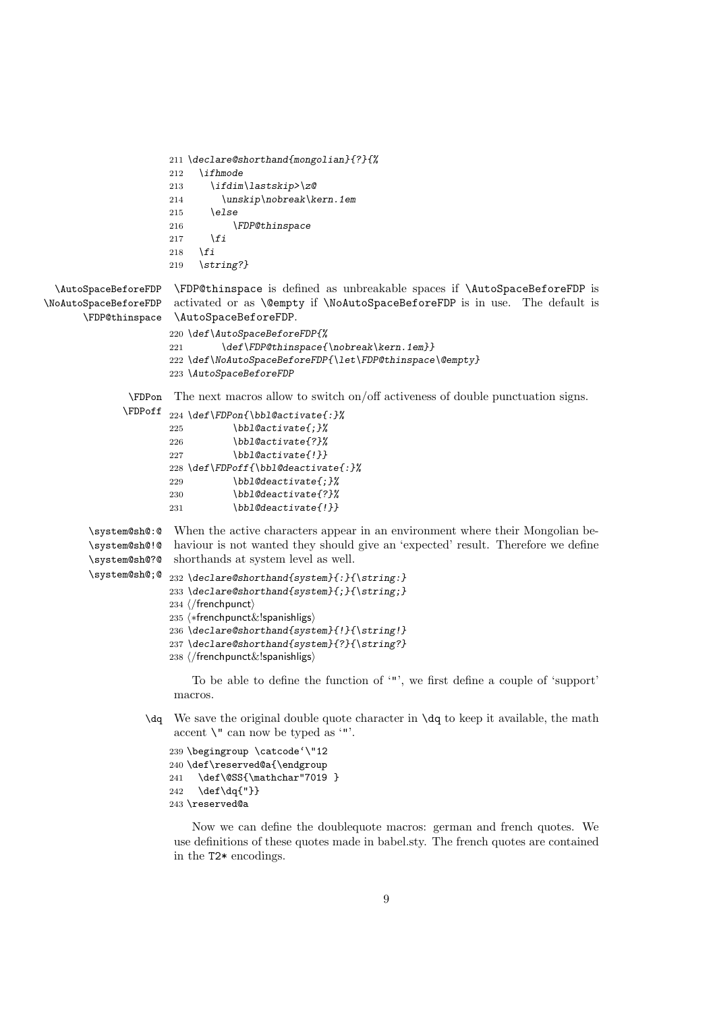```
211 \declare@shorthand{mongolian}{?}{%
                      212 \ifhmode
                      213 \ifdim\lastskip>\z@
                      214 \unskip\nobreak\kern.1em
                      215 \else
                      216 \FDP@thinspace
                      217 \fi
                      218 \fi
                      219 \string?}
  \AutoSpaceBeforeFDP
\NoAutoSpaceBeforeFDP
       \FDP@thinspace
                       \FDP@thinspace is defined as unbreakable spaces if \AutoSpaceBeforeFDP is
                       activated or as \@empty if \NoAutoSpaceBeforeFDP is in use. The default is
                       \AutoSpaceBeforeFDP.
                      220 \def\AutoSpaceBeforeFDP{%
                      221 \def\FDP@thinspace{\nobreak\kern.1em}}
                      222 \def\NoAutoSpaceBeforeFDP{\let\FDP@thinspace\@empty}
                      223 \AutoSpaceBeforeFDP
               \FDPon
              \FDPoff
224 \def\FDPon{\bbl@activate{:}%
                      The next macros allow to switch on/off activeness of double punctuation signs.
                      225 \bbl@activate{;}%
                      226 \bbl@activate{?}%
                      227 \bbl@activate{!}}
                      228 \def\FDPoff{\bbl@deactivate{:}%
                      229 \bbl@deactivate{;}%
                      230 \bbl@deactivate{?}%
                      231 \bbl@deactivate{!}}
        \system@sh@:@
        \system@sh@!@
        \system@sh@?@
        \system@sh@;@
                       When the active characters appear in an environment where their Mongolian be-
                       haviour is not wanted they should give an 'expected' result. Therefore we define
                       shorthands at system level as well.
                      232 \declare@shorthand{system}{:}{\string:}
                      233 \declare@shorthand{system}{;}{\string;}
                       234 \langle/frenchpunct\rangle235 \langle *frenchpunct\&!spanishligs\rangle236 \declare@shorthand{system}{!}{\string!}
                      237 \declare@shorthand{system}{?}{\string?}
                       238 \langle/frenchpunct\&!spanishligs\rangleTo be able to define the function of '"', we first define a couple of 'support'
                       macros.
                  \dq We save the original double quote character in \dq to keep it available, the math
                       accent \lambda" can now be typed as '"'.
                      239 \begingroup \catcode'\"12
                      240 \def\reserved@a{\endgroup
                      241 \def\@SS{\mathchar"7019 }
```
242 \def\dq{"}} 243 \reserved@a

Now we can define the doublequote macros: german and french quotes. We use definitions of these quotes made in babel.sty. The french quotes are contained in the T2\* encodings.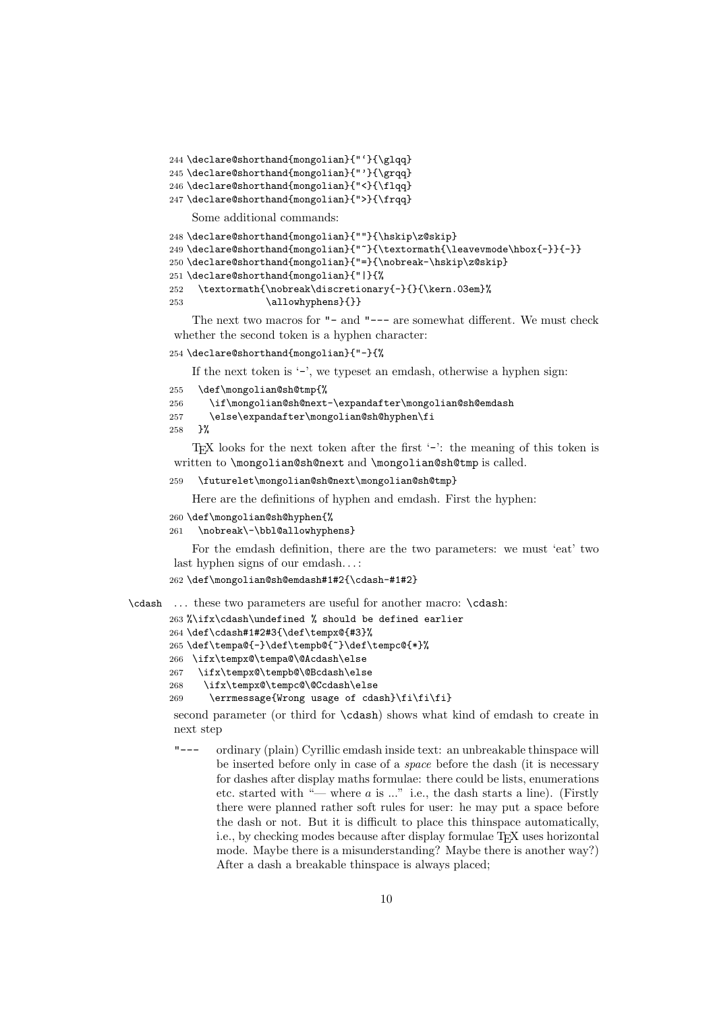244 \declare@shorthand{mongolian}{"'}{\glqq}

245 \declare@shorthand{mongolian}{"'}{\grqq}

246 \declare@shorthand{mongolian}{"<}{\flqq}

247 \declare@shorthand{mongolian}{">}{\frqq}

Some additional commands:

```
248 \declare@shorthand{mongolian}{""}{\hskip\z@skip}
249 \declare@shorthand{mongolian}{"~}{\textormath{\leavevmode\hbox{-}}{-}}
250 \declare@shorthand{mongolian}{"=}{\nobreak-\hskip\z@skip}
251 \declare@shorthand{mongolian}{"|}{%
252 \textormath{\nobreak\discretionary{-}{}{\kern.03em}%
253 \dllowhyphens}{}}
```
The next two macros for "- and "--- are somewhat different. We must check whether the second token is a hyphen character:

254 \declare@shorthand{mongolian}{"-}{%

If the next token is  $\cdot$ -', we typeset an emdash, otherwise a hyphen sign:

```
255 \def\mongolian@sh@tmp{%
```
256 \if\mongolian@sh@next-\expandafter\mongolian@sh@emdash

```
257 \else\expandafter\mongolian@sh@hyphen\fi
```
258 }%

TEX looks for the next token after the first '-': the meaning of this token is written to \mongolian@sh@next and \mongolian@sh@tmp is called.

#### 259 \futurelet\mongolian@sh@next\mongolian@sh@tmp}

Here are the definitions of hyphen and emdash. First the hyphen:

```
260 \def\mongolian@sh@hyphen{%
```
261 \nobreak\-\bbl@allowhyphens}

For the emdash definition, there are the two parameters: we must 'eat' two last hyphen signs of our emdash. . . :

```
262 \def\mongolian@sh@emdash#1#2{\cdash-#1#2}
```
\cdash ... these two parameters are useful for another macro: \cdash:

```
263 %\ifx\cdash\undefined % should be defined earlier
264 \def\cdash#1#2#3{\def\tempx@{#3}%
265 \def\tempa@{-}\def\tempb@{~}\def\tempc@{*}%
266 \ifx\tempx@\tempa@\@Acdash\else
267 \ifx\tempx@\tempb@\@Bcdash\else
268 \ifx\tempx@\tempc@\@Ccdash\else
269 \errmessage{Wrong usage of cdash}\fi\fi\fi}
```
second parameter (or third for \cdash) shows what kind of emdash to create in next step

"--- ordinary (plain) Cyrillic emdash inside text: an unbreakable thinspace will be inserted before only in case of a *space* before the dash (it is necessary for dashes after display maths formulae: there could be lists, enumerations etc. started with "— where *a* is ..." i.e., the dash starts a line). (Firstly there were planned rather soft rules for user: he may put a space before the dash or not. But it is difficult to place this thinspace automatically, i.e., by checking modes because after display formulae T<sub>EX</sub> uses horizontal mode. Maybe there is a misunderstanding? Maybe there is another way?) After a dash a breakable thinspace is always placed;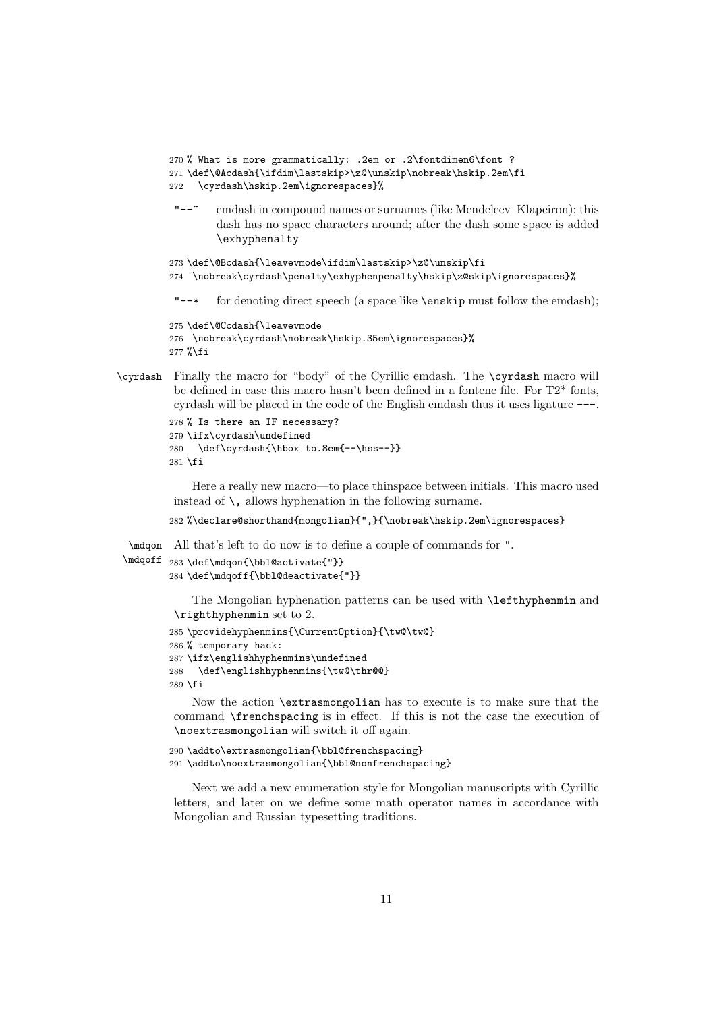```
270 % What is more grammatically: .2em or .2\fontdimen6\font ?
         271 \def\@Acdash{\ifdim\lastskip>\z@\unskip\nobreak\hskip.2em\fi
         272 \cyrdash\hskip.2em\ignorespaces}%
          "--~ emdash in compound names or surnames (like Mendeleev–Klapeiron); this
                  dash has no space characters around; after the dash some space is added
                  \exhyphenalty
         273 \def\@Bcdash{\leavevmode\ifdim\lastskip>\z@\unskip\fi
         274 \nobreak\cyrdash\penalty\exhyphenpenalty\hskip\z@skip\ignorespaces}%
          "--* for denoting direct speech (a space like \enskip must follow the emdash);
         275 \def\@Ccdash{\leavevmode
         276 \nobreak\cyrdash\nobreak\hskip.35em\ignorespaces}%
         277 %\fi
\cyrdash Finally the macro for "body" of the Cyrillic emdash. The \cyrdash macro will
```
be defined in case this macro hasn't been defined in a fontenc file. For T2\* fonts, cyrdash will be placed in the code of the English emdash thus it uses ligature ---.

```
278 % Is there an IF necessary?
279 \ifx\cyrdash\undefined
280 \def\cyrdash{\hbox to.8em{--\hss--}}
281 \fi
```
Here a really new macro—to place thinspace between initials. This macro used instead of  $\lambda$ , allows hyphenation in the following surname.

282 %\declare@shorthand{mongolian}{",}{\nobreak\hskip.2em\ignorespaces}

\mdqon All that's left to do now is to define a couple of commands for ".

```
\mdqoff 283 \def\mdqon{\bbl@activate{"}}
        284 \def\mdqoff{\bbl@deactivate{"}}
```
The Mongolian hyphenation patterns can be used with \lefthyphenmin and \righthyphenmin set to 2.

```
285 \providehyphenmins{\CurrentOption}{\tw@\tw@}
286 % temporary hack:
287 \ifx\englishhyphenmins\undefined
288 \def\englishhyphenmins{\tw@\thr@@}
289 \fi
```
Now the action \extrasmongolian has to execute is to make sure that the command \frenchspacing is in effect. If this is not the case the execution of \noextrasmongolian will switch it off again.

```
290 \addto\extrasmongolian{\bbl@frenchspacing}
291 \addto\noextrasmongolian{\bbl@nonfrenchspacing}
```
Next we add a new enumeration style for Mongolian manuscripts with Cyrillic letters, and later on we define some math operator names in accordance with Mongolian and Russian typesetting traditions.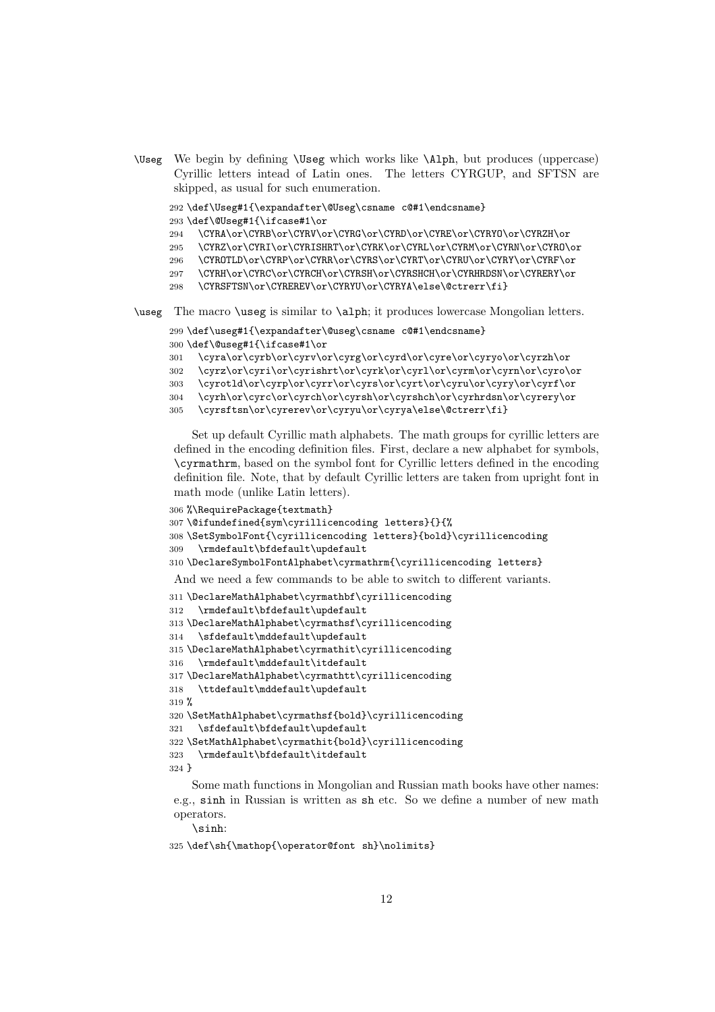\Useg We begin by defining \Useg which works like \Alph, but produces (uppercase) Cyrillic letters intead of Latin ones. The letters CYRGUP, and SFTSN are skipped, as usual for such enumeration.

\def\Useg#1{\expandafter\@Useg\csname c@#1\endcsname}

\def\@Useg#1{\ifcase#1\or

294 \CYRA\or\CYRB\or\CYRV\or\CYRG\or\CYRD\or\CYRE\or\CYRYO\or\CYRZH\or

- 295 \CYRZ\or\CYRI\or\CYRISHRT\or\CYRK\or\CYRL\or\CYRM\or\CYRN\or\CYRO\or
- \CYROTLD\or\CYRP\or\CYRR\or\CYRS\or\CYRT\or\CYRU\or\CYRY\or\CYRF\or
- \CYRH\or\CYRC\or\CYRCH\or\CYRSH\or\CYRSHCH\or\CYRHRDSN\or\CYRERY\or
- \CYRSFTSN\or\CYREREV\or\CYRYU\or\CYRYA\else\@ctrerr\fi}

\useg The macro \useg is similar to \alph; it produces lowercase Mongolian letters.

```
299 \def\useg#1{\expandafter\@useg\csname c@#1\endcsname}
300 \def\@useg#1{\ifcase#1\or
```
\cyra\or\cyrb\or\cyrv\or\cyrg\or\cyrd\or\cyre\or\cyryo\or\cyrzh\or

```
302 \cyrz\or\cyri\or\cyrishrt\or\cyrk\or\cyrl\or\cyrm\or\cyrn\or\cyro\or
```
- \cyrotld\or\cyrp\or\cyrr\or\cyrs\or\cyrt\or\cyru\or\cyry\or\cyrf\or
- \cyrh\or\cyrc\or\cyrch\or\cyrsh\or\cyrshch\or\cyrhrdsn\or\cyrery\or

```
305 \cyrsftsn\or\cyrerev\or\cyryu\or\cyrya\else\@ctrerr\fi}
```
Set up default Cyrillic math alphabets. The math groups for cyrillic letters are defined in the encoding definition files. First, declare a new alphabet for symbols, \cyrmathrm, based on the symbol font for Cyrillic letters defined in the encoding definition file. Note, that by default Cyrillic letters are taken from upright font in math mode (unlike Latin letters).

```
306 %\RequirePackage{textmath}
307 \@ifundefined{sym\cyrillicencoding letters}{}{%
308 \SetSymbolFont{\cyrillicencoding letters}{bold}\cyrillicencoding
309 \rmdefault\bfdefault\updefault
310 \DeclareSymbolFontAlphabet\cyrmathrm{\cyrillicencoding letters}
And we need a few commands to be able to switch to different variants.
311 \DeclareMathAlphabet\cyrmathbf\cyrillicencoding
312 \rmdefault\bfdefault\updefault
313 \DeclareMathAlphabet\cyrmathsf\cyrillicencoding
314 \sfdefault\mddefault\updefault
315 \DeclareMathAlphabet\cyrmathit\cyrillicencoding
316 \rmdefault\mddefault\itdefault
317 \DeclareMathAlphabet\cyrmathtt\cyrillicencoding
318 \ttdefault\mddefault\updefault
319 %
```

```
320 \SetMathAlphabet\cyrmathsf{bold}\cyrillicencoding
321 \sfdefault\bfdefault\updefault
```

```
322 \SetMathAlphabet\cyrmathit{bold}\cyrillicencoding
323 \rmdefault\bfdefault\itdefault
```
}

Some math functions in Mongolian and Russian math books have other names: e.g., sinh in Russian is written as sh etc. So we define a number of new math operators.

\sinh:

```
325 \def\sh{\mathop{\operator@font sh}\nolimits}
```